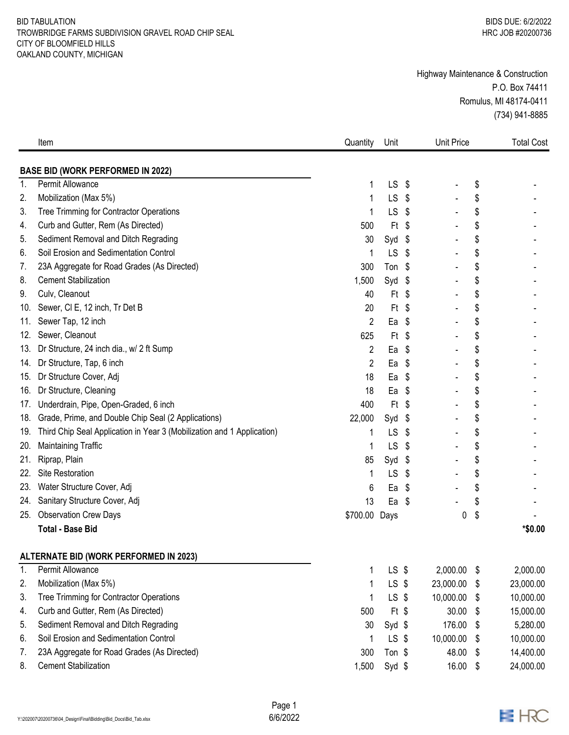## BID TABULATION TROWBRIDGE FARMS SUBDIVISION GRAVEL ROAD CHIP SEAL CITY OF BLOOMFIELD HILLS OAKLAND COUNTY, MICHIGAN

## Highway Maintenance & Construction P.O. Box 74411 Romulus, MI 48174-0411 (734) 941-8885

|                | Item                                                                   | Quantity      | Unit      |      | <b>Unit Price</b> |      | <b>Total Cost</b> |
|----------------|------------------------------------------------------------------------|---------------|-----------|------|-------------------|------|-------------------|
|                | <b>BASE BID (WORK PERFORMED IN 2022)</b>                               |               |           |      |                   |      |                   |
| $\mathbf{1}$   | Permit Allowance                                                       |               | LS        | \$   |                   | \$   |                   |
| 2.             | Mobilization (Max 5%)                                                  | 1             | <b>LS</b> | \$   |                   | \$   |                   |
| 3.             | Tree Trimming for Contractor Operations                                |               | LS        | \$   |                   | \$   |                   |
| 4.             | Curb and Gutter, Rem (As Directed)                                     | 500           | Ft        | \$   |                   | \$   |                   |
| 5.             | Sediment Removal and Ditch Regrading                                   | 30            | Syd       | - \$ |                   | \$   |                   |
| 6.             | Soil Erosion and Sedimentation Control                                 |               | LS        | \$   |                   | \$   |                   |
| 7.             | 23A Aggregate for Road Grades (As Directed)                            | 300           | Ton \$    |      |                   | \$   |                   |
| 8.             | <b>Cement Stabilization</b>                                            | 1,500         | Syd \$    |      |                   | \$   |                   |
| 9.             | Culv, Cleanout                                                         | 40            | Ft        | \$   |                   | \$   |                   |
| 10.            | Sewer, CI E, 12 inch, Tr Det B                                         | 20            | $Ft$ \$   |      |                   | \$   |                   |
| 11.            | Sewer Tap, 12 inch                                                     | 2             | Ea        | \$   |                   | \$   |                   |
| 12.            | Sewer, Cleanout                                                        | 625           | Ft        | \$   |                   | \$   |                   |
| 13.            | Dr Structure, 24 inch dia., w/ 2 ft Sump                               | 2             | Ea        | \$   |                   | \$   |                   |
| 14.            | Dr Structure, Tap, 6 inch                                              | 2             | Ea        | \$   |                   | \$   |                   |
| 15.            | Dr Structure Cover, Adj                                                | 18            | Ea        | \$   |                   | \$   |                   |
| 16.            | Dr Structure, Cleaning                                                 | 18            | Ea        | \$   |                   | \$   |                   |
| $1/\epsilon$   | Underdrain, Pipe, Open-Graded, 6 inch                                  | 400           | Ft        | \$   |                   | \$   |                   |
| 18.            | Grade, Prime, and Double Chip Seal (2 Applications)                    | 22,000        | Syd       | \$   |                   | \$   |                   |
| 19.            | Third Chip Seal Application in Year 3 (Mobilization and 1 Application) | 1             | LS        | \$   |                   | \$   |                   |
| 20.            | <b>Maintaining Traffic</b>                                             |               | LS        | \$   |                   | \$   |                   |
| 21.            | Riprap, Plain                                                          | 85            | Syd       | \$   |                   | \$   |                   |
| 22.            | Site Restoration                                                       | 1             | LS        | \$   |                   | \$   |                   |
| 23.            | Water Structure Cover, Adj                                             | 6             | Ea        | \$   |                   | \$   |                   |
| 24.            | Sanitary Structure Cover, Adj                                          | 13            | Ea        | \$   |                   | \$   |                   |
| 25.            | <b>Observation Crew Days</b>                                           | \$700.00 Days |           |      | 0                 | \$   |                   |
|                | <b>Total - Base Bid</b>                                                |               |           |      |                   |      | *\$0.00           |
|                | <b>ALTERNATE BID (WORK PERFORMED IN 2023)</b>                          |               |           |      |                   |      |                   |
| $\mathbf{1}$ . | Permit Allowance                                                       |               | $LS$ \$   |      | 2,000.00          | \$   | 2,000.00          |
| 2.             | Mobilization (Max 5%)                                                  |               | LS \$     |      | 23,000.00         | -\$  | 23,000.00         |
| 3.             | Tree Trimming for Contractor Operations                                |               | $LS$ \$   |      | 10,000.00         | -\$  | 10,000.00         |
| 4.             | Curb and Gutter, Rem (As Directed)                                     | 500           | $Ft$ \$   |      | 30.00             | -\$  | 15,000.00         |
| 5.             | Sediment Removal and Ditch Regrading                                   | 30            | $Syd$ \$  |      | 176.00            | - \$ | 5,280.00          |
| 6.             | Soil Erosion and Sedimentation Control                                 |               | $LS$ \$   |      | 10,000.00         | S    | 10,000.00         |
| 7.             | 23A Aggregate for Road Grades (As Directed)                            | 300           | Ton \$    |      | 48.00             | -\$  | 14,400.00         |
| 8.             | <b>Cement Stabilization</b>                                            | 1,500         | Syd \$    |      | 16.00             | \$   | 24,000.00         |